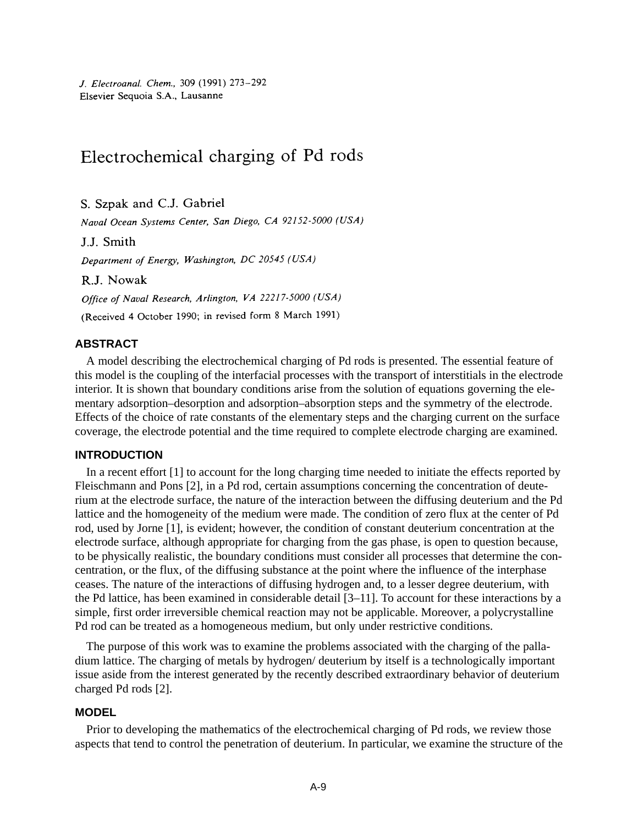J. Electroanal. Chem., 309 (1991) 273-292 Elsevier Sequoia S.A., Lausanne

# Electrochemical charging of Pd rods

S. Szpak and C.J. Gabriel

Naval Ocean Systems Center, San Diego, CA 92152-5000 (USA)

J.J. Smith

Department of Energy, Washington, DC 20545 (USA)

R.J. Nowak

Office of Naval Research, Arlington, VA 22217-5000 (USA)

(Received 4 October 1990; in revised form 8 March 1991)

# **ABSTRACT**

A model describing the electrochemical charging of Pd rods is presented. The essential feature of this model is the coupling of the interfacial processes with the transport of interstitials in the electrode interior. It is shown that boundary conditions arise from the solution of equations governing the elementary adsorption–desorption and adsorption–absorption steps and the symmetry of the electrode. Effects of the choice of rate constants of the elementary steps and the charging current on the surface coverage, the electrode potential and the time required to complete electrode charging are examined.

# **INTRODUCTION**

In a recent effort [1] to account for the long charging time needed to initiate the effects reported by Fleischmann and Pons [2], in a Pd rod, certain assumptions concerning the concentration of deuterium at the electrode surface, the nature of the interaction between the diffusing deuterium and the Pd lattice and the homogeneity of the medium were made. The condition of zero flux at the center of Pd rod, used by Jorne [1], is evident; however, the condition of constant deuterium concentration at the electrode surface, although appropriate for charging from the gas phase, is open to question because, to be physically realistic, the boundary conditions must consider all processes that determine the concentration, or the flux, of the diffusing substance at the point where the influence of the interphase ceases. The nature of the interactions of diffusing hydrogen and, to a lesser degree deuterium, with the Pd lattice, has been examined in considerable detail [3–11]. To account for these interactions by a simple, first order irreversible chemical reaction may not be applicable. Moreover, a polycrystalline Pd rod can be treated as a homogeneous medium, but only under restrictive conditions.

The purpose of this work was to examine the problems associated with the charging of the palladium lattice. The charging of metals by hydrogen/ deuterium by itself is a technologically important issue aside from the interest generated by the recently described extraordinary behavior of deuterium charged Pd rods [2].

# **MODEL**

Prior to developing the mathematics of the electrochemical charging of Pd rods, we review those aspects that tend to control the penetration of deuterium. In particular, we examine the structure of the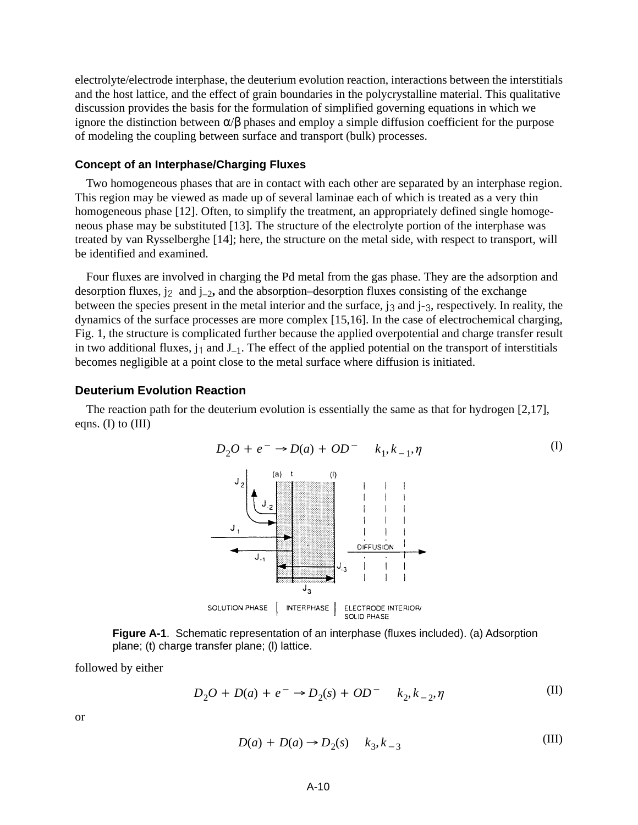electrolyte/electrode interphase, the deuterium evolution reaction, interactions between the interstitials and the host lattice, and the effect of grain boundaries in the polycrystalline material. This qualitative discussion provides the basis for the formulation of simplified governing equations in which we ignore the distinction between  $\alpha/\beta$  phases and employ a simple diffusion coefficient for the purpose of modeling the coupling between surface and transport (bulk) processes.

#### **Concept of an Interphase/Charging Fluxes**

Two homogeneous phases that are in contact with each other are separated by an interphase region. This region may be viewed as made up of several laminae each of which is treated as a very thin homogeneous phase [12]. Often, to simplify the treatment, an appropriately defined single homogeneous phase may be substituted [13]. The structure of the electrolyte portion of the interphase was treated by van Rysselberghe [14]; here, the structure on the metal side, with respect to transport, will be identified and examined.

Four fluxes are involved in charging the Pd metal from the gas phase. They are the adsorption and desorption fluxes,  $j_2$  and  $j_{-2}$ , and the absorption–desorption fluxes consisting of the exchange between the species present in the metal interior and the surface,  $j_3$  and  $j_3$ , respectively. In reality, the dynamics of the surface processes are more complex [15,16]. In the case of electrochemical charging, Fig. 1, the structure is complicated further because the applied overpotential and charge transfer result in two additional fluxes,  $j_1$  and  $J_{-1}$ . The effect of the applied potential on the transport of interstitials becomes negligible at a point close to the metal surface where diffusion is initiated.

## **Deuterium Evolution Reaction**

The reaction path for the deuterium evolution is essentially the same as that for hydrogen [2,17], eqns. (I) to  $(III)$ 



**Figure A-1**. Schematic representation of an interphase (fluxes included). (a) Adsorption plane; (t) charge transfer plane; (l) lattice.

followed by either

$$
D_2O + D(a) + e^- \to D_2(s) + OD^- \quad k_2, k_{-2}, \eta \tag{II}
$$

or

$$
D(a) + D(a) \rightarrow D_2(s) \qquad k_3, k_{-3}
$$
\n(III)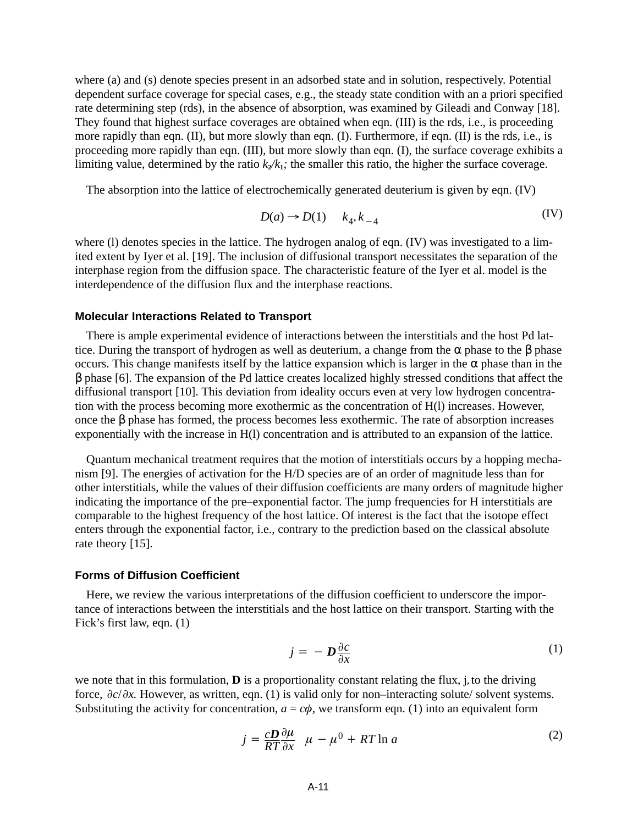where (a) and (s) denote species present in an adsorbed state and in solution, respectively. Potential dependent surface coverage for special cases, e.g., the steady state condition with an a priori specified rate determining step (rds), in the absence of absorption, was examined by Gileadi and Conway [18]. They found that highest surface coverages are obtained when eqn. (III) is the rds, i.e., is proceeding more rapidly than eqn. (II), but more slowly than eqn. (I). Furthermore, if eqn. (II) is the rds, i.e., is proceeding more rapidly than eqn. (III), but more slowly than eqn. (I), the surface coverage exhibits a limiting value, determined by the ratio  $k_2/k_1$ ; the smaller this ratio, the higher the surface coverage.

The absorption into the lattice of electrochemically generated deuterium is given by eqn. (IV)

$$
D(a) \to D(1) \qquad k_4, k_{-4} \tag{IV}
$$

where (I) denotes species in the lattice. The hydrogen analog of eqn. (IV) was investigated to a limited extent by Iyer et al. [19]. The inclusion of diffusional transport necessitates the separation of the interphase region from the diffusion space. The characteristic feature of the Iyer et al. model is the interdependence of the diffusion flux and the interphase reactions.

#### **Molecular Interactions Related to Transport**

There is ample experimental evidence of interactions between the interstitials and the host Pd lattice. During the transport of hydrogen as well as deuterium, a change from the  $\alpha$  phase to the  $\beta$  phase occurs. This change manifests itself by the lattice expansion which is larger in the  $\alpha$  phase than in the β phase [6]. The expansion of the Pd lattice creates localized highly stressed conditions that affect the diffusional transport [10]. This deviation from ideality occurs even at very low hydrogen concentration with the process becoming more exothermic as the concentration of H(l) increases. However, once the β phase has formed, the process becomes less exothermic. The rate of absorption increases exponentially with the increase in H(l) concentration and is attributed to an expansion of the lattice.

Quantum mechanical treatment requires that the motion of interstitials occurs by a hopping mechanism [9]. The energies of activation for the H/D species are of an order of magnitude less than for other interstitials, while the values of their diffusion coefficients are many orders of magnitude higher indicating the importance of the pre–exponential factor. The jump frequencies for H interstitials are comparable to the highest frequency of the host lattice. Of interest is the fact that the isotope effect enters through the exponential factor, i.e., contrary to the prediction based on the classical absolute rate theory [15].

## **Forms of Diffusion Coefficient**

Here, we review the various interpretations of the diffusion coefficient to underscore the importance of interactions between the interstitials and the host lattice on their transport. Starting with the Fick's first law, eqn. (1)

$$
j = -D\frac{\partial c}{\partial x} \tag{1}
$$

we note that in this formulation, **D** is a proportionality constant relating the flux, j**,** to the driving force,  $\partial c/\partial x$ . However, as written, eqn. (1) is valid only for non–interacting solute/ solvent systems. Substituting the activity for concentration,  $a = c\phi$ , we transform eqn. (1) into an equivalent form

$$
j = \frac{cD}{RT} \frac{\partial \mu}{\partial x} \quad \mu - \mu^0 + RT \ln a \tag{2}
$$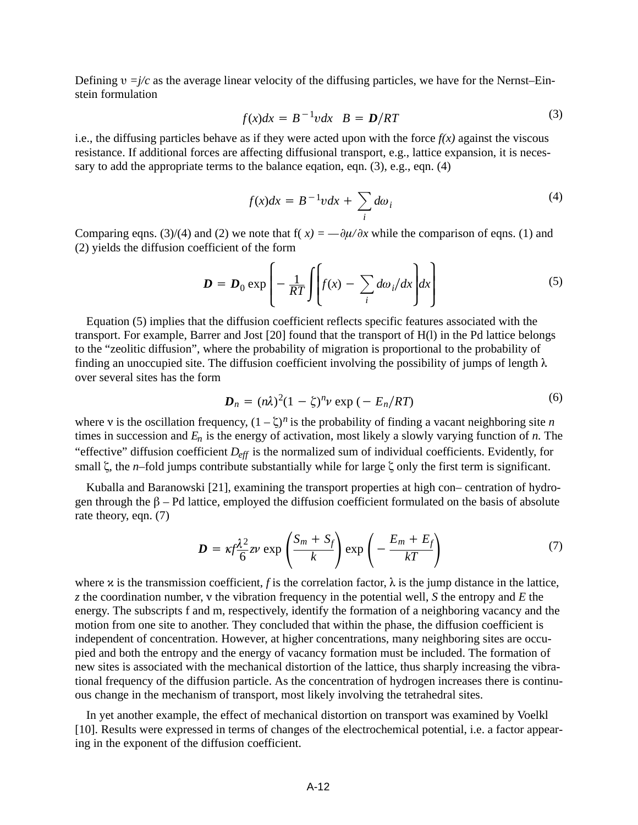Defining  $v = j/c$  as the average linear velocity of the diffusing particles, we have for the Nernst–Einstein formulation

$$
f(x)dx = B^{-1}vdx \quad B = D/RT \tag{3}
$$

i.e., the diffusing particles behave as if they were acted upon with the force  $f(x)$  against the viscous resistance. If additional forces are affecting diffusional transport, e.g., lattice expansion, it is necessary to add the appropriate terms to the balance eqation, eqn. (3), e.g., eqn. (4)

$$
f(x)dx = B^{-1}vdx + \sum_{i} d\omega_i
$$
 (4)

Comparing eqns. (3)/(4) and (2) we note that  $f(x) = -\frac{\partial \mu}{\partial x}$  while the comparison of eqns. (1) and (2) yields the diffusion coefficient of the form

$$
\mathbf{D} = \mathbf{D}_0 \exp\left(-\frac{1}{RT} \int \left[ f(x) - \sum_i d\omega_i/dx \right] dx\right)
$$
 (5)

Equation (5) implies that the diffusion coefficient reflects specific features associated with the transport. For example, Barrer and Jost [20] found that the transport of H(l) in the Pd lattice belongs to the "zeolitic diffusion", where the probability of migration is proportional to the probability of finding an unoccupied site. The diffusion coefficient involving the possibility of jumps of length  $\lambda$ over several sites has the form

$$
\boldsymbol{D}_n = (n\lambda)^2 (1 - \zeta)^n \boldsymbol{\nu} \exp\left(-E_n / RT\right) \tag{6}
$$

where v is the oscillation frequency,  $(1 - \zeta)^n$  is the probability of finding a vacant neighboring site *n* times in succession and *En* is the energy of activation, most likely a slowly varying function of *n.* The "effective" diffusion coefficient  $D_{\text{eff}}$  is the normalized sum of individual coefficients. Evidently, for small  $\zeta$ , the *n*–fold jumps contribute substantially while for large  $\zeta$  only the first term is significant.

Kuballa and Baranowski [21], examining the transport properties at high con– centration of hydrogen through the  $\beta$  – Pd lattice, employed the diffusion coefficient formulated on the basis of absolute rate theory, eqn. (7)

$$
D = \kappa f \frac{\lambda^2}{6} z \nu \exp\left(\frac{S_m + S_f}{k}\right) \exp\left(-\frac{E_m + E_f}{kT}\right) \tag{7}
$$

where  $x$  is the transmission coefficient, *f* is the correlation factor,  $\lambda$  is the jump distance in the lattice, *z* the coordination number, the vibration frequency in the potential well, *S* the entropy and *E* the energy. The subscripts f and m, respectively, identify the formation of a neighboring vacancy and the motion from one site to another. They concluded that within the phase, the diffusion coefficient is independent of concentration. However, at higher concentrations, many neighboring sites are occupied and both the entropy and the energy of vacancy formation must be included. The formation of new sites is associated with the mechanical distortion of the lattice, thus sharply increasing the vibrational frequency of the diffusion particle. As the concentration of hydrogen increases there is continuous change in the mechanism of transport, most likely involving the tetrahedral sites.

In yet another example, the effect of mechanical distortion on transport was examined by Voelkl [10]. Results were expressed in terms of changes of the electrochemical potential, i.e. a factor appearing in the exponent of the diffusion coefficient.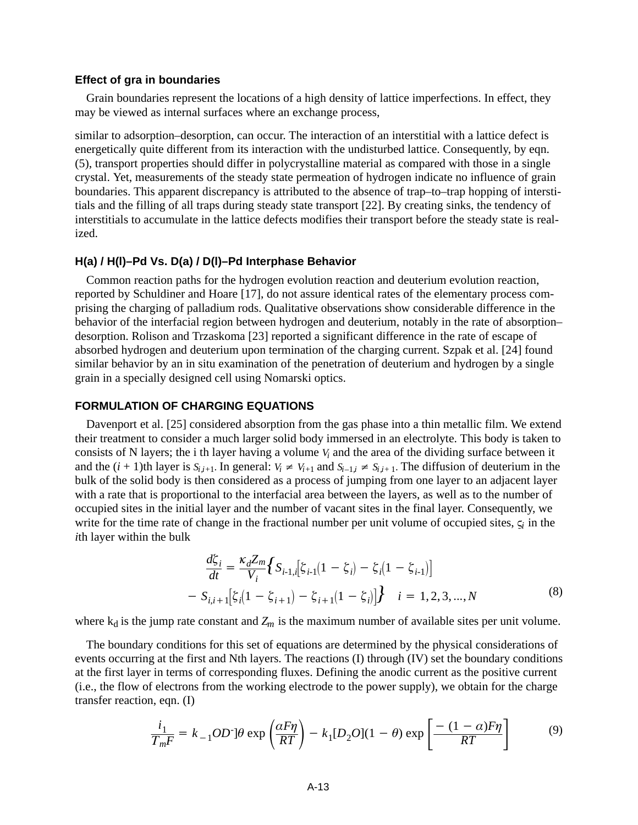#### **Effect of gra in boundaries**

Grain boundaries represent the locations of a high density of lattice imperfections. In effect, they may be viewed as internal surfaces where an exchange process,

similar to adsorption–desorption, can occur. The interaction of an interstitial with a lattice defect is energetically quite different from its interaction with the undisturbed lattice. Consequently, by eqn. (5), transport properties should differ in polycrystalline material as compared with those in a single crystal. Yet, measurements of the steady state permeation of hydrogen indicate no influence of grain boundaries. This apparent discrepancy is attributed to the absence of trap–to–trap hopping of interstitials and the filling of all traps during steady state transport [22]. By creating sinks, the tendency of interstitials to accumulate in the lattice defects modifies their transport before the steady state is realized.

#### **H(a) / H(l)–Pd Vs. D(a) / D(l)–Pd Interphase Behavior**

Common reaction paths for the hydrogen evolution reaction and deuterium evolution reaction, reported by Schuldiner and Hoare [17], do not assure identical rates of the elementary process comprising the charging of palladium rods. Qualitative observations show considerable difference in the behavior of the interfacial region between hydrogen and deuterium, notably in the rate of absorption– desorption. Rolison and Trzaskoma [23] reported a significant difference in the rate of escape of absorbed hydrogen and deuterium upon termination of the charging current. Szpak et al. [24] found similar behavior by an in situ examination of the penetration of deuterium and hydrogen by a single grain in a specially designed cell using Nomarski optics.

# **FORMULATION OF CHARGING EQUATIONS**

Davenport et al. [25] considered absorption from the gas phase into a thin metallic film. We extend their treatment to consider a much larger solid body immersed in an electrolyte. This body is taken to consists of N layers; the i th layer having a volume *Vi* and the area of the dividing surface between it and the  $(i + 1)$ th layer is  $S_{i,i+1}$ . In general:  $V_i \neq V_{i+1}$  and  $S_{i-1,i} \neq S_{i,i+1}$ . The diffusion of deuterium in the bulk of the solid body is then considered as a process of jumping from one layer to an adjacent layer with a rate that is proportional to the interfacial area between the layers, as well as to the number of occupied sites in the initial layer and the number of vacant sites in the final layer. Consequently, we write for the time rate of change in the fractional number per unit volume of occupied sites,  $\zeta$  in the *i*th layer within the bulk

$$
\frac{d\zeta_i}{dt} = \frac{\kappa_d Z_m}{V_i} \Big\{ S_{i-1,i} \Big[ \zeta_{i-1}(1 - \zeta_i) - \zeta_i (1 - \zeta_{i-1}) \Big] - S_{i,i+1} \Big[ \zeta_i (1 - \zeta_{i+1}) - \zeta_{i+1} (1 - \zeta_i) \Big] \Big\} \quad i = 1, 2, 3, ..., N
$$
\n(8)

where  $k_d$  is the jump rate constant and  $Z_m$  is the maximum number of available sites per unit volume.

The boundary conditions for this set of equations are determined by the physical considerations of events occurring at the first and Nth layers. The reactions (I) through (IV) set the boundary conditions at the first layer in terms of corresponding fluxes. Defining the anodic current as the positive current (i.e., the flow of electrons from the working electrode to the power supply), we obtain for the charge transfer reaction, eqn. (I)

$$
\frac{i_1}{T_m F} = k_{-1} OD \cdot \left[ \theta \exp\left(\frac{\alpha F \eta}{RT}\right) - k_1 [D_2 O](1 - \theta) \exp\left[\frac{-(1 - \alpha) F \eta}{RT}\right] \tag{9}
$$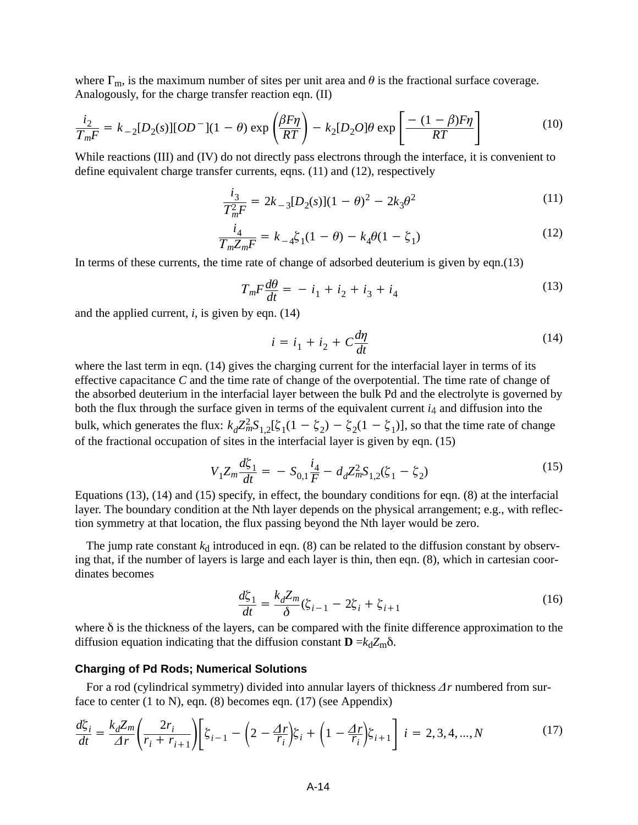where  $\Gamma_{\rm m}$ , is the maximum number of sites per unit area and  $\theta$  is the fractional surface coverage. Analogously, for the charge transfer reaction eqn. (II)

$$
\frac{i_2}{T_m F} = k_{-2} [D_2(s)][OD^-](1 - \theta) \exp\left(\frac{\beta F \eta}{RT}\right) - k_2 [D_2 O] \theta \exp\left[\frac{-(1 - \beta)F\eta}{RT}\right]
$$
(10)

While reactions (III) and (IV) do not directly pass electrons through the interface, it is convenient to define equivalent charge transfer currents, eqns. (11) and (12), respectively

$$
\frac{i_3}{T_m^2 F} = 2k_{-3}[D_2(s)](1-\theta)^2 - 2k_3\theta^2
$$
\n(11)

$$
\frac{i_4}{T_m Z_m F} = k_{-4} \xi_1 (1 - \theta) - k_4 \theta (1 - \xi_1)
$$
\n(12)

In terms of these currents, the time rate of change of adsorbed deuterium is given by eqn.(13)

$$
T_m F \frac{d\theta}{dt} = -i_1 + i_2 + i_3 + i_4 \tag{13}
$$

and the applied current, *i*, is given by eqn. (14)

$$
i = i_1 + i_2 + C\frac{d\eta}{dt} \tag{14}
$$

where the last term in eqn. (14) gives the charging current for the interfacial layer in terms of its effective capacitance *C* and the time rate of change of the overpotential. The time rate of change of the absorbed deuterium in the interfacial layer between the bulk Pd and the electrolyte is governed by both the flux through the surface given in terms of the equivalent current  $i_4$  and diffusion into the bulk, which generates the flux:  $k_d Z_m^2 S_{1,2}[\zeta_1(1-\zeta_2) - \zeta_2(1-\zeta_1)]$ , so that the time rate of change of the fractional occupation of sites in the interfacial layer is given by eqn. (15)

$$
V_1 Z_m \frac{d\zeta_1}{dt} = -S_{0,1} \frac{i_4}{F} - d_d Z_m^2 S_{1,2}(\zeta_1 - \zeta_2)
$$
\n(15)

Equations (13), (14) and (15) specify, in effect, the boundary conditions for eqn. (8) at the interfacial layer. The boundary condition at the Nth layer depends on the physical arrangement; e.g., with reflection symmetry at that location, the flux passing beyond the Nth layer would be zero.

The jump rate constant  $k_d$  introduced in eqn. (8) can be related to the diffusion constant by observing that, if the number of layers is large and each layer is thin, then eqn. (8), which in cartesian coordinates becomes

$$
\frac{d\zeta_1}{dt} = \frac{k_d Z_m}{\delta} (\zeta_{i-1} - 2\zeta_i + \zeta_{i+1})
$$
\n(16)

where  $\delta$  is the thickness of the layers, can be compared with the finite difference approximation to the diffusion equation indicating that the diffusion constant  $\mathbf{D} = k_d Z_m \delta$ .

#### **Charging of Pd Rods; Numerical Solutions**

For a rod (cylindrical symmetry) divided into annular layers of thickness  $\Delta r$  numbered from surface to center (1 to N), eqn. (8) becomes eqn. (17) (see Appendix)

$$
\frac{d\zeta_i}{dt} = \frac{k_d Z_m}{\Delta r} \left( \frac{2r_i}{r_i + r_{i+1}} \right) \left[ \zeta_{i-1} - \left( 2 - \frac{\Delta r}{r_i} \right) \zeta_i + \left( 1 - \frac{\Delta r}{r_i} \right) \zeta_{i+1} \right] \ i = 2, 3, 4, ..., N \tag{17}
$$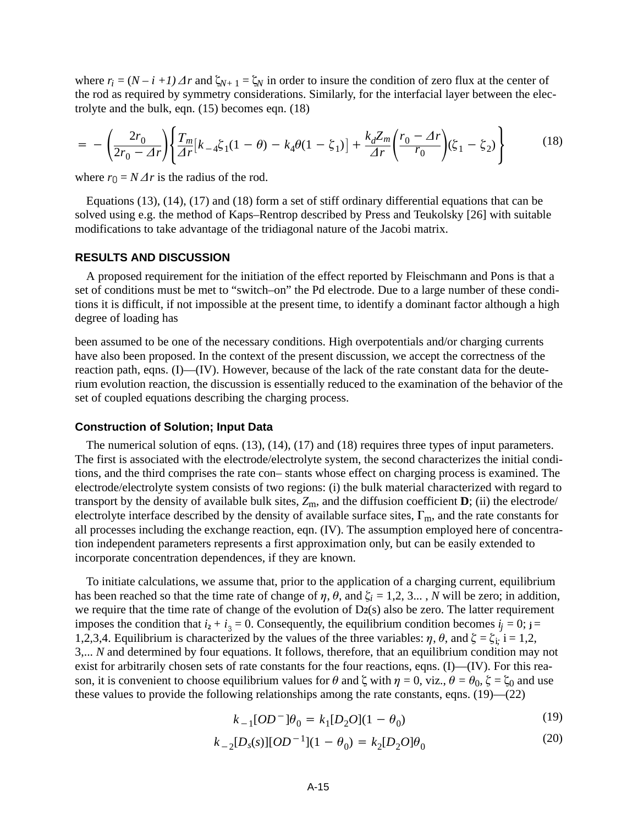where  $r_i = (N - i + 1) \Delta r$  and  $\zeta_{N+1} = \zeta_N$  in order to insure the condition of zero flux at the center of the rod as required by symmetry considerations. Similarly, for the interfacial layer between the electrolyte and the bulk, eqn. (15) becomes eqn. (18)

$$
= -\left(\frac{2r_0}{2r_0 - \Delta r}\right) \left\{ \frac{T_m}{\Delta r} [k_{-4} \xi_1 (1 - \theta) - k_4 \theta (1 - \xi_1)] + \frac{k_d Z_m}{\Delta r} \left(\frac{r_0 - \Delta r}{r_0}\right) (\xi_1 - \xi_2) \right\}
$$
(18)

where  $r_0 = N \Delta r$  is the radius of the rod.

Equations (13), (14), (17) and (18) form a set of stiff ordinary differential equations that can be solved using e.g. the method of Kaps–Rentrop described by Press and Teukolsky [26] with suitable modifications to take advantage of the tridiagonal nature of the Jacobi matrix.

# **RESULTS AND DISCUSSION**

A proposed requirement for the initiation of the effect reported by Fleischmann and Pons is that a set of conditions must be met to "switch–on" the Pd electrode. Due to a large number of these conditions it is difficult, if not impossible at the present time, to identify a dominant factor although a high degree of loading has

been assumed to be one of the necessary conditions. High overpotentials and/or charging currents have also been proposed. In the context of the present discussion, we accept the correctness of the reaction path, eqns. (I)—(IV). However, because of the lack of the rate constant data for the deuterium evolution reaction, the discussion is essentially reduced to the examination of the behavior of the set of coupled equations describing the charging process.

#### **Construction of Solution; Input Data**

The numerical solution of eqns. (13), (14), (17) and (18) requires three types of input parameters. The first is associated with the electrode/electrolyte system, the second characterizes the initial conditions, and the third comprises the rate con– stants whose effect on charging process is examined. The electrode/electrolyte system consists of two regions: (i) the bulk material characterized with regard to transport by the density of available bulk sites,  $Z_m$ , and the diffusion coefficient  $\mathbf{D}$ ; (ii) the electrode/ electrolyte interface described by the density of available surface sites,  $\Gamma_m$ , and the rate constants for all processes including the exchange reaction, eqn. (IV). The assumption employed here of concentration independent parameters represents a first approximation only, but can be easily extended to incorporate concentration dependences, if they are known.

To initiate calculations, we assume that, prior to the application of a charging current, equilibrium has been reached so that the time rate of change of  $\eta$ ,  $\theta$ , and  $\zeta_i = 1, 2, 3...$ , *N* will be zero; in addition, we require that the time rate of change of the evolution of D**2**(s) also be zero. The latter requirement imposes the condition that  $i_2 + i_3 = 0$ . Consequently, the equilibrium condition becomes  $i_j = 0$ ;  $j =$ 1,2,3,4. Equilibrium is characterized by the values of the three variables:  $\eta$ ,  $\theta$ , and  $\zeta = \zeta_i$ ; i = 1,2, 3,... *N* and determined by four equations. It follows, therefore, that an equilibrium condition may not exist for arbitrarily chosen sets of rate constants for the four reactions, eqns. (I)—(IV). For this reason, it is convenient to choose equilibrium values for  $\theta$  and  $\zeta$  with  $\eta = 0$ , viz.,  $\theta = \theta_0$ ,  $\zeta = \zeta_0$  and use these values to provide the following relationships among the rate constants, eqns. (19)—(22)

$$
k_{-1}[OD^-]\theta_0 = k_1[D_2O](1 - \theta_0)
$$
\n(19)

$$
k_{-2}[D_s(s)][OD^{-1}](1 - \theta_0) = k_2[D_2O]\theta_0
$$
\n(20)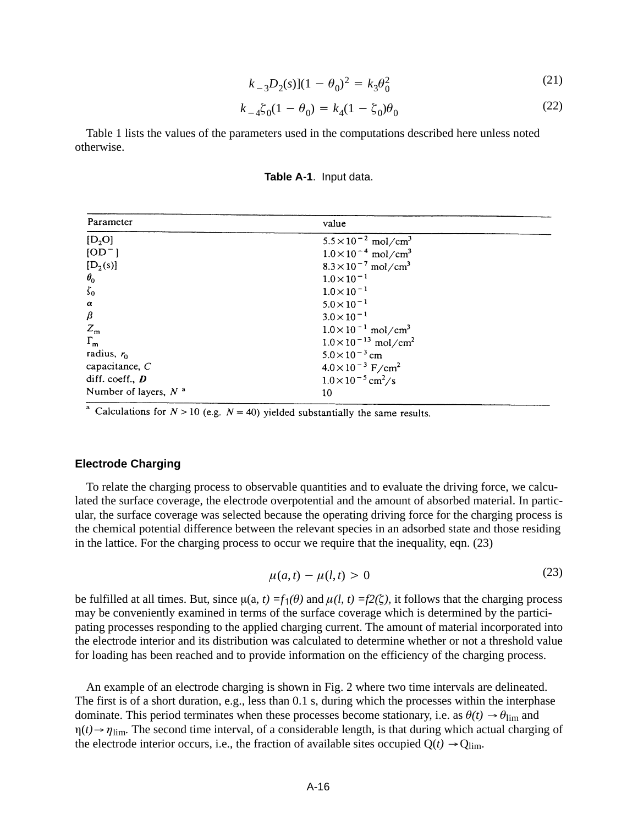$$
k_{-3}D_2(s)[(1 - \theta_0)^2 = k_3\theta_0^2 \tag{21}
$$

$$
k_{-4}\xi_0(1-\theta_0) = k_4(1-\xi_0)\theta_0
$$
\n(22)

Table 1 lists the values of the parameters used in the computations described here unless noted otherwise.

| Table A-1. Input data. |
|------------------------|
|------------------------|

| Parameter                      | value                                     |
|--------------------------------|-------------------------------------------|
| $[D_2O]$                       | $5.5 \times 10^{-2}$ mol/cm <sup>3</sup>  |
| $[OD^-]$                       | $1.0 \times 10^{-4}$ mol/cm <sup>3</sup>  |
| $[D_2(s)]$                     | $8.3 \times 10^{-7}$ mol/cm <sup>3</sup>  |
| $\theta_{0}$                   | $1.0 \times 10^{-1}$                      |
| $\zeta_0$                      | $1.0 \times 10^{-1}$                      |
| $\pmb{\alpha}$                 | $5.0 \times 10^{-1}$                      |
| $\beta$                        | $3.0 \times 10^{-1}$                      |
| $Z_{\rm m}$                    | $1.0 \times 10^{-1}$ mol/cm <sup>3</sup>  |
| $\Gamma_{\mathbf{m}}$          | $1.0 \times 10^{-13}$ mol/cm <sup>2</sup> |
| radius, $r_0$                  | $5.0 \times 10^{-3}$ cm                   |
| capacitance, $C$               | $4.0 \times 10^{-3}$ F/cm <sup>2</sup>    |
| diff. coeff., $\boldsymbol{D}$ | $1.0\times10^{-5}$ cm <sup>2</sup> /s     |
| Number of layers, $N^a$        | 10                                        |

<sup>a</sup> Calculations for  $N > 10$  (e.g.  $N = 40$ ) yielded substantially the same results.

#### **Electrode Charging**

To relate the charging process to observable quantities and to evaluate the driving force, we calculated the surface coverage, the electrode overpotential and the amount of absorbed material. In particular, the surface coverage was selected because the operating driving force for the charging process is the chemical potential difference between the relevant species in an adsorbed state and those residing in the lattice. For the charging process to occur we require that the inequality, eqn. (23)

$$
\mu(a,t) - \mu(l,t) > 0 \tag{23}
$$

be fulfilled at all times. But, since  $\mu(a, t) = f_1(\theta)$  and  $\mu(l, t) = f_2(\zeta)$ , it follows that the charging process may be conveniently examined in terms of the surface coverage which is determined by the participating processes responding to the applied charging current. The amount of material incorporated into the electrode interior and its distribution was calculated to determine whether or not a threshold value for loading has been reached and to provide information on the efficiency of the charging process.

An example of an electrode charging is shown in Fig. 2 where two time intervals are delineated. The first is of a short duration, e.g., less than 0.1 s, during which the processes within the interphase dominate. This period terminates when these processes become stationary, i.e. as  $\theta(t) \rightarrow \theta_{\text{lim}}$  and  $\eta(t) \rightarrow \eta_{\text{lim}}$ . The second time interval, of a considerable length, is that during which actual charging of the electrode interior occurs, i.e., the fraction of available sites occupied  $Q(t) \rightarrow Q_{\text{lim}}$ .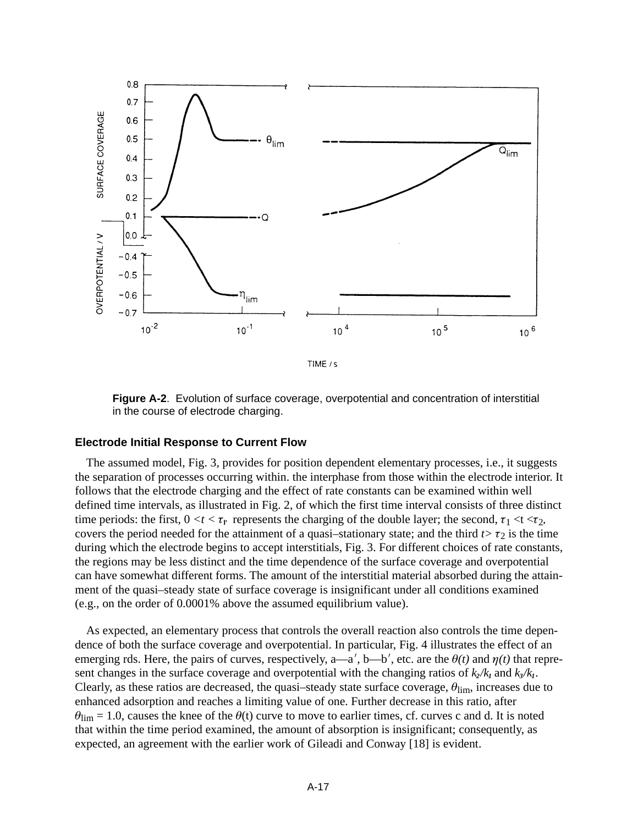

**Figure A-2**. Evolution of surface coverage, overpotential and concentration of interstitial in the course of electrode charging.

#### **Electrode Initial Response to Current Flow**

The assumed model, Fig. 3*,* provides for position dependent elementary processes, i.e., it suggests the separation of processes occurring within. the interphase from those within the electrode interior. It follows that the electrode charging and the effect of rate constants can be examined within well defined time intervals, as illustrated in Fig. 2, of which the first time interval consists of three distinct time periods: the first,  $0 \lt t \lt \tau_r$  represents the charging of the double layer; the second,  $\tau_1 \lt t \lt \tau_2$ , covers the period needed for the attainment of a quasi-stationary state; and the third  $t > \tau_2$  is the time during which the electrode begins to accept interstitials, Fig. 3. For different choices of rate constants, the regions may be less distinct and the time dependence of the surface coverage and overpotential can have somewhat different forms. The amount of the interstitial material absorbed during the attainment of the quasi–steady state of surface coverage is insignificant under all conditions examined (e.g., on the order of 0.0001% above the assumed equilibrium value).

As expected, an elementary process that controls the overall reaction also controls the time dependence of both the surface coverage and overpotential. In particular, Fig. 4 illustrates the effect of an emerging rds. Here, the pairs of curves, respectively, a—a', b—b', etc. are the  $\theta(t)$  and  $\eta(t)$  that represent changes in the surface coverage and overpotential with the changing ratios of  $k_2/k_1$  and  $k_3/k_1$ . Clearly, as these ratios are decreased, the quasi-steady state surface coverage,  $\theta_{\rm lim}$ , increases due to enhanced adsorption and reaches a limiting value of one. Further decrease in this ratio, after  $\theta_{\text{lim}} = 1.0$ , causes the knee of the  $\theta(t)$  curve to move to earlier times, cf. curves c and d. It is noted that within the time period examined, the amount of absorption is insignificant; consequently, as expected, an agreement with the earlier work of Gileadi and Conway [18] is evident.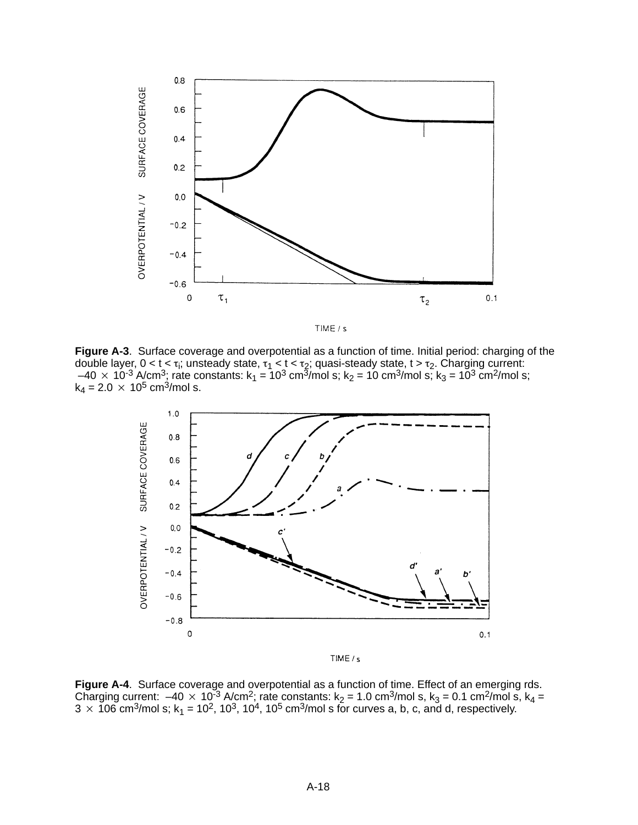



**Figure A-3**. Surface coverage and overpotential as a function of time. Initial period: charging of the double layer, 0 < t <  $\tau_i$ ; unsteady state,  $\tau_1$  < t <  $\tau_2$ ; quasi-steady state, t >  $\tau_2$ . Charging current:  $-40 \times 10^{-3}$  A/cm<sup>3</sup>; rate constants: k<sub>1</sub> = 10<sup>3</sup> cm<sup>5</sup>/mol s; k<sub>2</sub> = 10 cm<sup>3</sup>/mol s; k<sub>3</sub> = 10<sup>3</sup> cm<sup>2</sup>/mol s;  $k_4 = 2.0 \times 10^5$  cm<sup>3</sup>/mol s.



**Figure A-4**. Surface coverage and overpotential as a function of time. Effect of an emerging rds. Charging current:  $-40 \times 10^{-3}$  A/cm<sup>2</sup>; rate constants: k<sub>2</sub> = 1.0 cm<sup>3</sup>/mol s, k<sub>3</sub> = 0.1 cm<sup>2</sup>/mol s, k<sub>4</sub> =  $3 \times 106$  cm<sup>3</sup>/mol s; k<sub>1</sub> = 10<sup>2</sup>, 10<sup>3</sup>, 10<sup>4</sup>, 10<sup>5</sup> cm<sup>3</sup>/mol s for curves a, b, c, and d, respectively.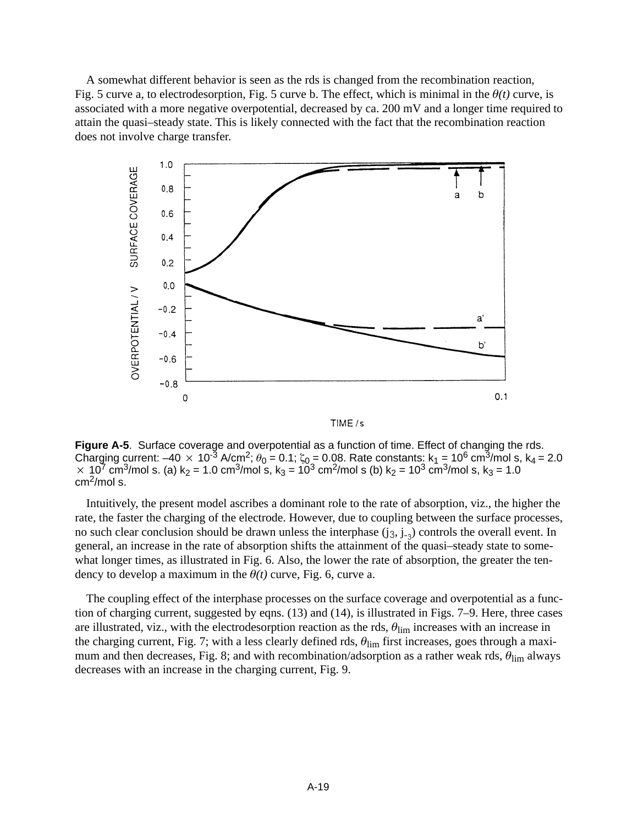A somewhat different behavior is seen as the rds is changed from the recombination reaction, Fig. 5 curve a, to electrodesorption, Fig. 5 curve b. The effect, which is minimal in the  $\theta(t)$  curve, is associated with a more negative overpotential, decreased by ca. 200 mV and a longer time required to attain the quasi–steady state. This is likely connected with the fact that the recombination reaction does not involve charge transfer.



**Figure A-5**. Surface coverage and overpotential as a function of time. Effect of changing the rds. Charging current: –40  $\times$  10<sup>-3</sup> A/cm<sup>2</sup>;  $\theta_0$  = 0.1;  $\zeta_0$  = 0.08. Rate constants: k<sub>1</sub> = 10<sup>6</sup> cm<sup>3</sup>/mol s, k<sub>4</sub> = 2.0  $1 \times 10^{7}$  cm<sup>3</sup>/mol s. (a) k<sub>2</sub> = 1.0 cm<sup>3</sup>/mol s, k<sub>3</sub> = 10<sup>3</sup> cm<sup>2</sup>/mol s (b) k<sub>2</sub> = 10<sup>3</sup> cm<sup>3</sup>/mol s, k<sub>3</sub> = 1.0 cm2/mol s.

Intuitively, the present model ascribes a dominant role to the rate of absorption, viz., the higher the rate, the faster the charging of the electrode. However, due to coupling between the surface processes, no such clear conclusion should be drawn unless the interphase  $(i_3, i_{-2})$  controls the overall event. In general, an increase in the rate of absorption shifts the attainment of the quasi–steady state to somewhat longer times, as illustrated in Fig. 6. Also, the lower the rate of absorption, the greater the tendency to develop a maximum in the  $\theta(t)$  curve, Fig. 6, curve a.

The coupling effect of the interphase processes on the surface coverage and overpotential as a function of charging current, suggested by eqns. (13) and (14), is illustrated in Figs. 7–9. Here, three cases are illustrated, viz., with the electrodesorption reaction as the rds,  $\theta_{\text{lim}}$  increases with an increase in the charging current, Fig. 7; with a less clearly defined rds,  $\theta_{\rm lim}$  first increases, goes through a maximum and then decreases, Fig. 8; and with recombination/adsorption as a rather weak rds,  $\theta_{\text{lim}}$  always decreases with an increase in the charging current, Fig. 9.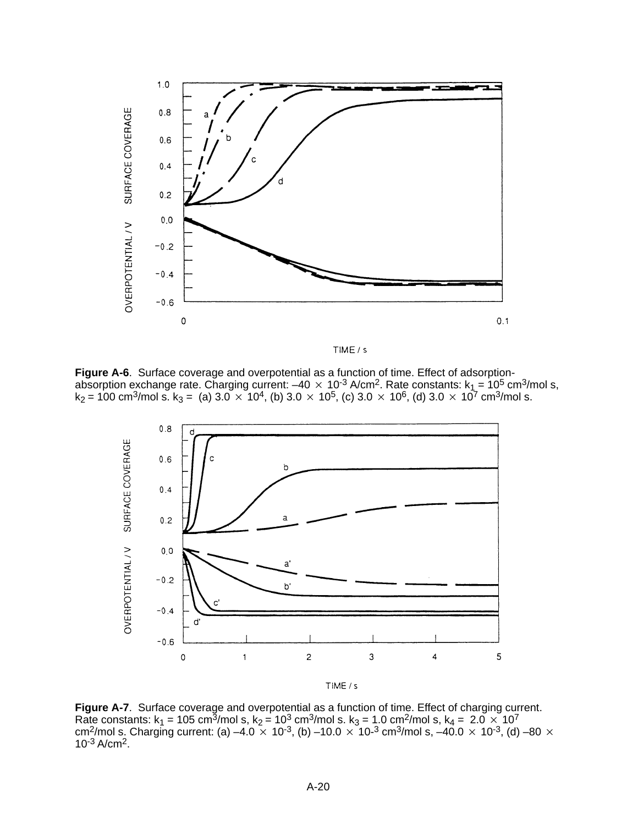



**Figure A-6**. Surface coverage and overpotential as a function of time. Effect of adsorptionabsorption exchange rate. Charging current: –40  $\times$  10<sup>-3</sup> A/cm<sup>2</sup>. Rate constants: k<sub>1</sub> = 10<sup>5</sup> cm<sup>3</sup>/mol s, k<sub>2</sub> = 100 cm<sup>3</sup>/mol s. k<sub>3</sub> = (a) 3.0  $\times$  10<sup>4</sup>, (b) 3.0  $\times$  10<sup>5</sup>, (c) 3.0  $\times$  10<sup>6</sup>, (d) 3.0  $\times$  10<sup>7</sup> cm<sup>3</sup>/mol s.



**Figure A-7**. Surface coverage and overpotential as a function of time. Effect of charging current. Rate constants: k<sub>1</sub> = 105 cm<sup>3</sup>/mol s, k<sub>2</sub> = 10<sup>3</sup> cm<sup>3</sup>/mol s. k<sub>3</sub> = 1.0 cm<sup>2</sup>/mol s, k<sub>4</sub> = 2.0  $\times$  10<sup>7</sup> cm<sup>2</sup>/mol s. Charging current: (a) –4.0  $\times$  10<sup>-3</sup>, (b) –10.0  $\times$  10-<sup>3</sup> cm<sup>3</sup>/mol s, –40.0  $\times$  10<sup>-3</sup>, (d) –80  $\times$  $10^{-3}$  A/cm<sup>2</sup>.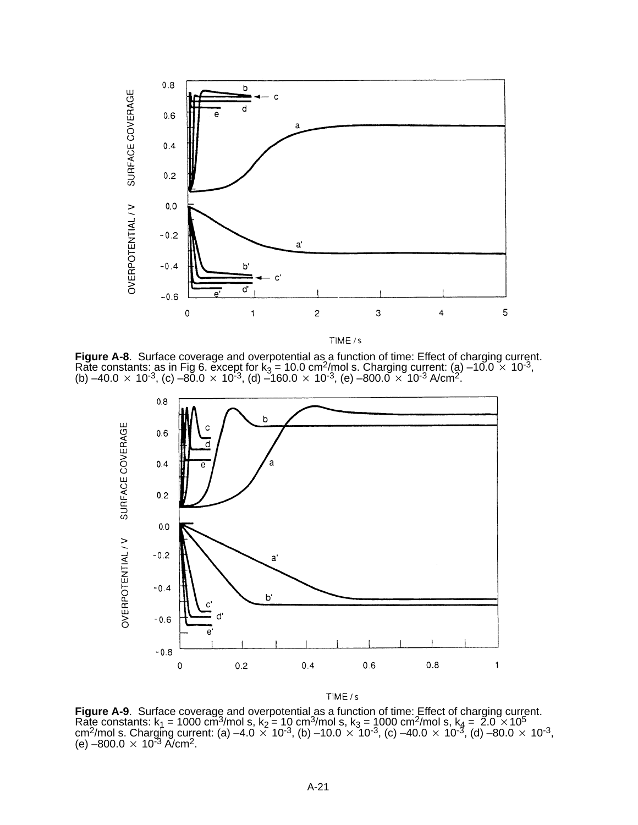

TIME / s

**Figure A-8**. Surface coverage and overpotential as a function of time: Effect of charging current.<br>Rate constants: as in Fig 6. except for k<sub>3</sub> = 10.0 cm<sup>2</sup>/mol s. Charging current: (a) –10.0 × 10<sup>-3</sup>,<br>(b) –40.0 × 10<sup>-3</sup>



 $TIME/s$ 

**Figure A-9**. Surface coverage and overpotential as a function of time: Effect of charging current. Rate constants:  $k_1 = 1000 \text{ cm}^3/\text{mol}$  s,  $k_2 = 10 \text{ cm}^3/\text{mol}$  s,  $k_3 = 1000 \text{ cm}^2/\text{mol}$  s,  $k_4 = 2.0 \times 10^5$ cm<sup>2</sup>/mol s. Charging current: (a) –4.0  $\times$  10<sup>-3</sup>, (b) –10.0  $\times$  10<sup>-3</sup>, (c) –40.0  $\times$  10<sup>-3</sup>, (d) –80.0  $\times$  10<sup>-3</sup>, (e) –80.0  $\times$  10<sup>-3</sup>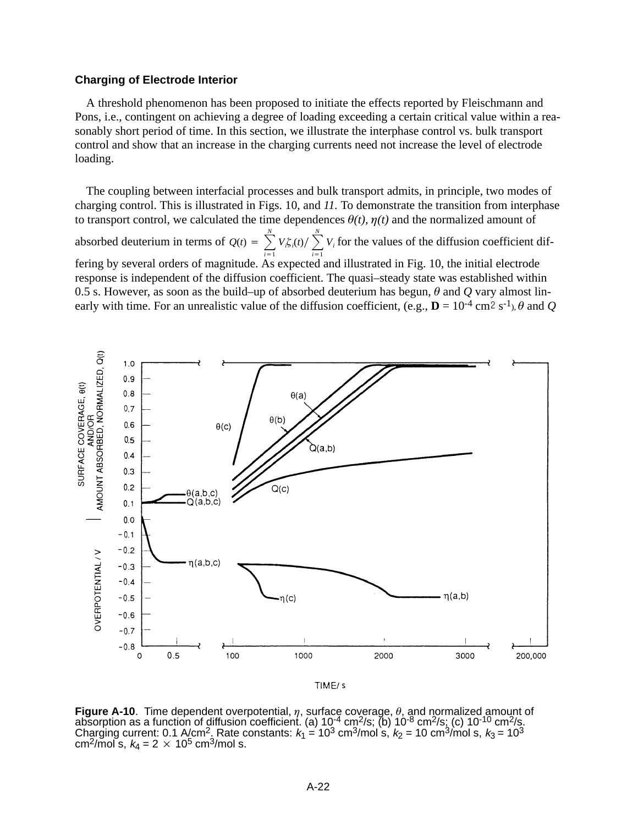# **Charging of Electrode Interior**

A threshold phenomenon has been proposed to initiate the effects reported by Fleischmann and Pons, i.e., contingent on achieving a degree of loading exceeding a certain critical value within a reasonably short period of time. In this section, we illustrate the interphase control vs. bulk transport control and show that an increase in the charging currents need not increase the level of electrode loading.

The coupling between interfacial processes and bulk transport admits, in principle, two modes of charging control. This is illustrated in Figs. 10, and *11.* To demonstrate the transition from interphase to transport control, we calculated the time dependences  $\theta(t)$ ,  $\eta(t)$  and the normalized amount of absorbed deuterium in terms of  $Q(t) = \sum_{r=1}^{N}$  $\overline{i=1}$  $V_i \xi_i(t) / \sum_{i=1}^N$  $\overline{i=1}$  $V_i$  for the values of the diffusion coefficient differing by several orders of magnitude. As expected and illustrated in Fig. 10, the initial electrode response is independent of the diffusion coefficient. The quasi–steady state was established within 0.5 s. However, as soon as the build–up of absorbed deuterium has begun,  $\theta$  and  $Q$  vary almost linearly with time. For an unrealistic value of the diffusion coefficient, (e.g.,  $\mathbf{D} = 10^{-4}$  cm<sup>2</sup> s<sup>-1</sup>),  $\theta$  and *Q* 



**Figure A-10**. Time dependent overpotential,  $\eta$ , surface coverage,  $\theta$ , and normalized amount of absorption as a function of diffusion coefficient. (a)  $10^{-4}$  cm<sup>2</sup>/s; (b)  $10^{-8}$  cm<sup>2</sup>/s; (c)  $10^{-10}$  cm<sup>2</sup>/s. Charging current: 0.1 A/cm<sup>2</sup>, Rate constants:  $k_1 = 10^3$  cm<sup>3</sup>/mol s,  $k_2 = 10$  cm<sup>3</sup>/mol s,  $k_3 = 10^3$ cm<sup>2</sup>/mol s,  $k_4 = 2 \times 10^5$  cm<sup>3</sup>/mol s.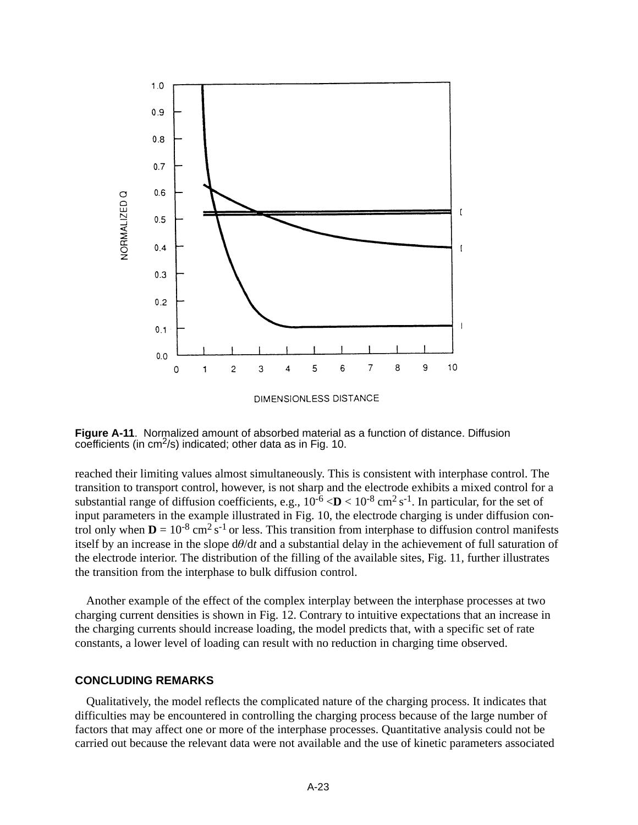

**Figure A-11**. Normalized amount of absorbed material as a function of distance. Diffusion coefficients (in cm2/s) indicated; other data as in Fig. 10.

reached their limiting values almost simultaneously. This is consistent with interphase control. The transition to transport control, however, is not sharp and the electrode exhibits a mixed control for a substantial range of diffusion coefficients, e.g.,  $10^{-6}$   $\langle \mathbf{D} \times 10^{-8} \text{ cm}^2 \text{ s}^{-1}$ . In particular, for the set of input parameters in the example illustrated in Fig. 10, the electrode charging is under diffusion control only when  $D = 10^{-8}$  cm<sup>2</sup> s<sup>-1</sup> or less. This transition from interphase to diffusion control manifests itself by an increase in the slope  $d\theta/dt$  and a substantial delay in the achievement of full saturation of the electrode interior. The distribution of the filling of the available sites, Fig. 11*,* further illustrates the transition from the interphase to bulk diffusion control.

Another example of the effect of the complex interplay between the interphase processes at two charging current densities is shown in Fig. 12. Contrary to intuitive expectations that an increase in the charging currents should increase loading, the model predicts that, with a specific set of rate constants, a lower level of loading can result with no reduction in charging time observed.

#### **CONCLUDING REMARKS**

Qualitatively, the model reflects the complicated nature of the charging process. It indicates that difficulties may be encountered in controlling the charging process because of the large number of factors that may affect one or more of the interphase processes. Quantitative analysis could not be carried out because the relevant data were not available and the use of kinetic parameters associated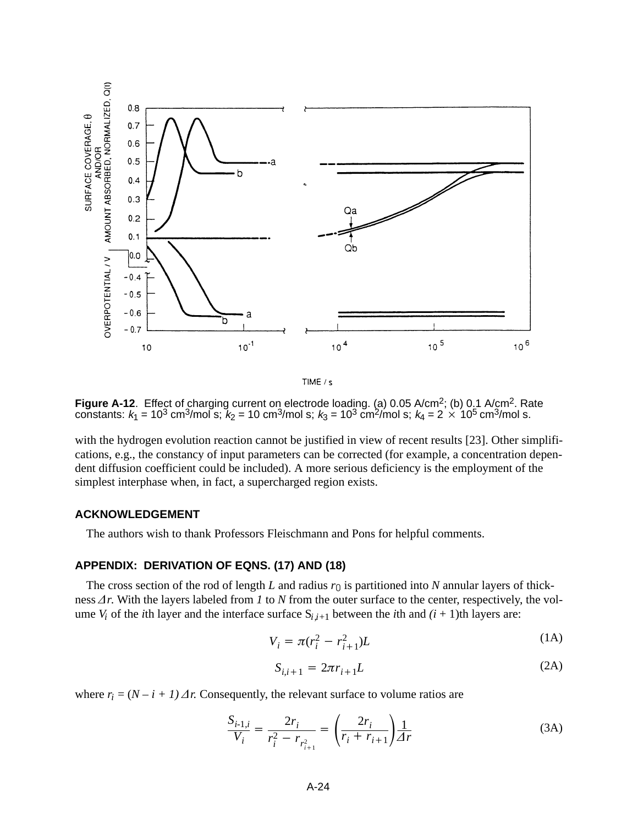

TIME / s

**Figure A-12**. Effect of charging current on electrode loading. (a) 0.05 A/cm2; (b) 0.1 A/cm2. Rate constants:  $k_1 = 10^3$  cm<sup>3</sup>/mol s;  $k_2 = 10$  cm<sup>3</sup>/mol s;  $k_3 = 10^3$  cm<sup>2</sup>/mol s;  $k_4 = 2 \times 10^5$  cm<sup>3</sup>/mol s.

with the hydrogen evolution reaction cannot be justified in view of recent results [23]. Other simplifications, e.g., the constancy of input parameters can be corrected (for example, a concentration dependent diffusion coefficient could be included). A more serious deficiency is the employment of the simplest interphase when, in fact, a supercharged region exists.

#### **ACKNOWLEDGEMENT**

The authors wish to thank Professors Fleischmann and Pons for helpful comments.

## **APPENDIX: DERIVATION OF EQNS. (17) AND (18)**

The cross section of the rod of length *L* and radius  $r_0$  is partitioned into *N* annular layers of thickness  $\Delta r$ . With the layers labeled from *1* to *N* from the outer surface to the center, respectively, the volume  $V_i$  of the *i*th layer and the interface surface  $S_{i,i+1}$  between the *i*th and  $(i + 1)$ th layers are:

$$
V_i = \pi (r_i^2 - r_{i+1}^2)L
$$
 (1A)

$$
S_{i,i+1} = 2\pi r_{i+1} L
$$
 (2A)

where  $r_i = (N - i + 1) \Delta r$ . Consequently, the relevant surface to volume ratios are

$$
\frac{S_{i-1,i}}{V_i} = \frac{2r_i}{r_i^2 - r_{r_{i+1}^2}} = \left(\frac{2r_i}{r_i + r_{i+1}}\right) \frac{1}{\Delta r}
$$
(3A)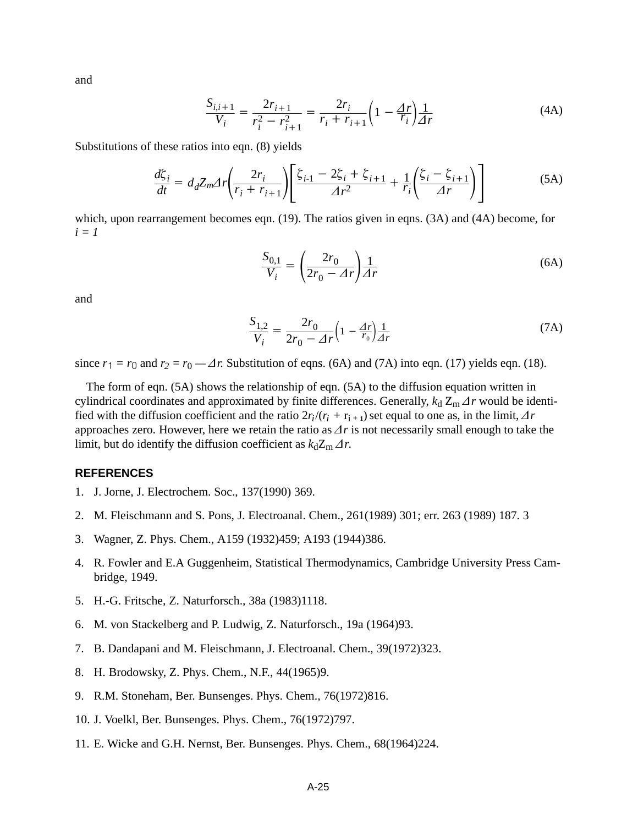and

$$
\frac{S_{i,i+1}}{V_i} = \frac{2r_{i+1}}{r_i^2 - r_{i+1}^2} = \frac{2r_i}{r_i + r_{i+1}} \left(1 - \frac{\Delta r}{r_i}\right) \frac{1}{\Delta r}
$$
(4A)

Substitutions of these ratios into eqn. (8) yields

$$
\frac{d\zeta_i}{dt} = d_d Z_m \Delta r \left( \frac{2r_i}{r_i + r_{i+1}} \right) \left[ \frac{\zeta_{i-1} - 2\zeta_i + \zeta_{i+1}}{\Delta r^2} + \frac{1}{r_i} \left( \frac{\zeta_i - \zeta_{i+1}}{\Delta r} \right) \right]
$$
(5A)

which, upon rearrangement becomes eqn. (19). The ratios given in eqns. (3A) and (4A) become, for *i = 1*

$$
\frac{S_{0,1}}{V_i} = \left(\frac{2r_0}{2r_0 - \Delta r}\right) \frac{1}{\Delta r}
$$
\n(6A)

and

$$
\frac{S_{1,2}}{V_i} = \frac{2r_0}{2r_0 - \Delta r} \left( 1 - \frac{\Delta r}{r_0} \right) \frac{1}{\Delta r}
$$
(7A)

since  $r_1 = r_0$  and  $r_2 = r_0 - \Delta r$ . Substitution of eqns. (6A) and (7A) into eqn. (17) yields eqn. (18).

The form of eqn. (5A) shows the relationship of eqn. (5A) to the diffusion equation written in cylindrical coordinates and approximated by finite differences. Generally,  $k_d Z_m \Delta r$  would be identified with the diffusion coefficient and the ratio  $2r_i/(r_i + r_{i+1})$  set equal to one as, in the limit,  $\Delta r$ approaches zero. However, here we retain the ratio as  $\Delta r$  is not necessarily small enough to take the limit, but do identify the diffusion coefficient as  $k_d Z_m \Delta r$ .

## **REFERENCES**

- 1. J. Jorne, J. Electrochem. Soc., 137(1990) 369.
- 2. M. Fleischmann and S. Pons, J. Electroanal. Chem., 261(1989) 301; err. 263 (1989) 187. 3
- 3. Wagner, Z. Phys. Chem., A159 (1932)459; A193 (1944)386.
- 4. R. Fowler and E.A Guggenheim, Statistical Thermodynamics, Cambridge University Press Cambridge, 1949.
- 5. H.-G. Fritsche, Z. Naturforsch., 38a (1983)1118.
- 6. M. von Stackelberg and P. Ludwig, Z. Naturforsch., 19a (1964)93.
- 7. B. Dandapani and M. Fleischmann, J. Electroanal. Chem., 39(1972)323.
- 8. H. Brodowsky, Z. Phys. Chem., N.F., 44(1965)9.
- 9. R.M. Stoneham, Ber. Bunsenges. Phys. Chem., 76(1972)816.
- 10. J. Voelkl, Ber. Bunsenges. Phys. Chem., 76(1972)797.
- 11. E. Wicke and G.H. Nernst, Ber. Bunsenges. Phys. Chem., 68(1964)224.